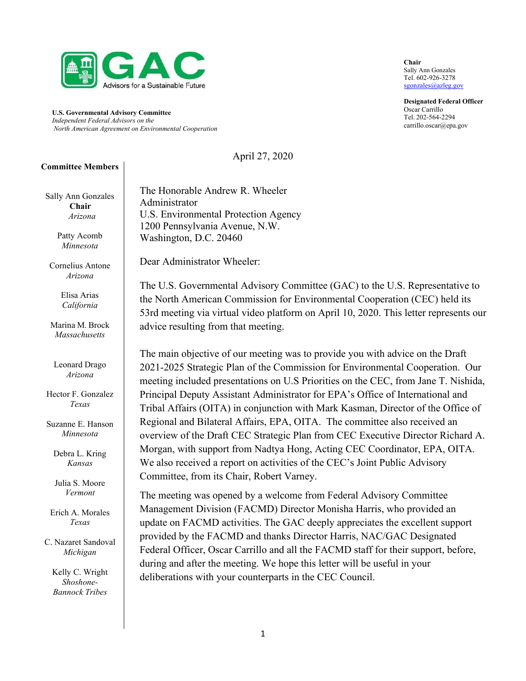

**U.S. Governmental Advisory Committee** *Independent Federal Advisors on the North American Agreement on Environmental Cooperation*

April 27, 2020

#### **Committee Members**

Sally Ann Gonzales  **Chair** *Arizona*

> Patty Acomb *Minnesota*

Cornelius Antone *Arizona*

> Elisa Arias *California*

Marina M. Brock *Massachusetts*

Leonard Drago *Arizona*

Hector F. Gonzalez *Texas*

Suzanne E. Hanson *Minnesota*

Debra L. Kring *Kansas*

Julia S. Moore *Vermont*

Erich A. Morales *Texas*

C. Nazaret Sandoval *Michigan*

Kelly C. Wright *Shoshone-Bannock Tribes*

The Honorable Andrew R. Wheeler Administrator U.S. Environmental Protection Agency 1200 Pennsylvania Avenue, N.W. Washington, D.C. 20460

Dear Administrator Wheeler:

The U.S. Governmental Advisory Committee (GAC) to the U.S. Representative to the North American Commission for Environmental Cooperation (CEC) held its 53rd meeting via virtual video platform on April 10, 2020. This letter represents our advice resulting from that meeting.

The main objective of our meeting was to provide you with advice on the Draft 2021-2025 Strategic Plan of the Commission for Environmental Cooperation. Our meeting included presentations on U.S Priorities on the CEC, from Jane T. Nishida, Principal Deputy Assistant Administrator for EPA's Office of International and Tribal Affairs (OITA) in conjunction with Mark Kasman, Director of the Office of Regional and Bilateral Affairs, EPA, OITA. The committee also received an overview of the Draft CEC Strategic Plan from CEC Executive Director Richard A. Morgan, with support from Nadtya Hong, Acting CEC Coordinator, EPA, OITA. We also received a report on activities of the CEC's Joint Public Advisory Committee, from its Chair, Robert Varney.

The meeting was opened by a welcome from Federal Advisory Committee Management Division (FACMD) Director Monisha Harris, who provided an update on FACMD activities. The GAC deeply appreciates the excellent support provided by the FACMD and thanks Director Harris, NAC/GAC Designated Federal Officer, Oscar Carrillo and all the FACMD staff for their support, before, during and after the meeting. We hope this letter will be useful in your deliberations with your counterparts in the CEC Council.

**Chair** Sally Ann Gonzales Tel. 602-926-3278 [sgonzales@azleg.gov](mailto:sgonzales@azleg.gov)

**Designated Federal Officer** Oscar Carrillo Tel. 202-564-2294 [carrillo.oscar@epa.gov](mailto:carrillo.oscar@epa.gov)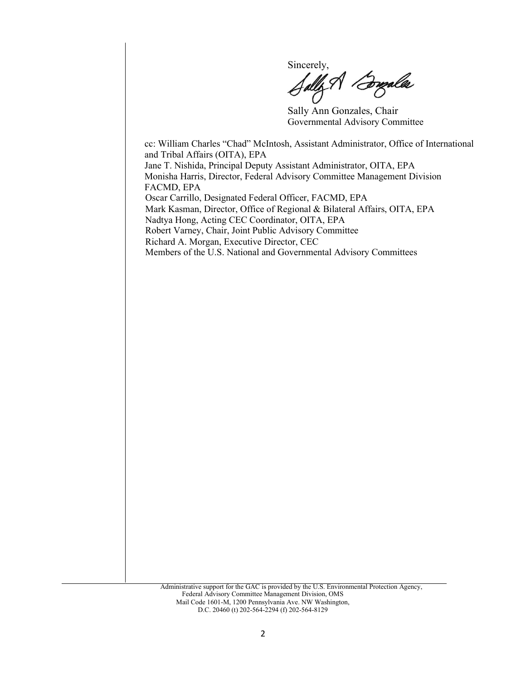Sincerely,<br>Sally A *Bugalla* 

Sally Ann Gonzales, Chair Governmental Advisory Committee

cc: William Charles "Chad" McIntosh, Assistant Administrator, Office of International and Tribal Affairs (OITA), EPA Jane T. Nishida, Principal Deputy Assistant Administrator, OITA, EPA Monisha Harris, Director, Federal Advisory Committee Management Division FACMD, EPA Oscar Carrillo, Designated Federal Officer, FACMD, EPA Mark Kasman, Director, Office of Regional & Bilateral Affairs, OITA, EPA Nadtya Hong, Acting CEC Coordinator, OITA, EPA Robert Varney, Chair, Joint Public Advisory Committee Richard A. Morgan, Executive Director, CEC Members of the U.S. National and Governmental Advisory Committees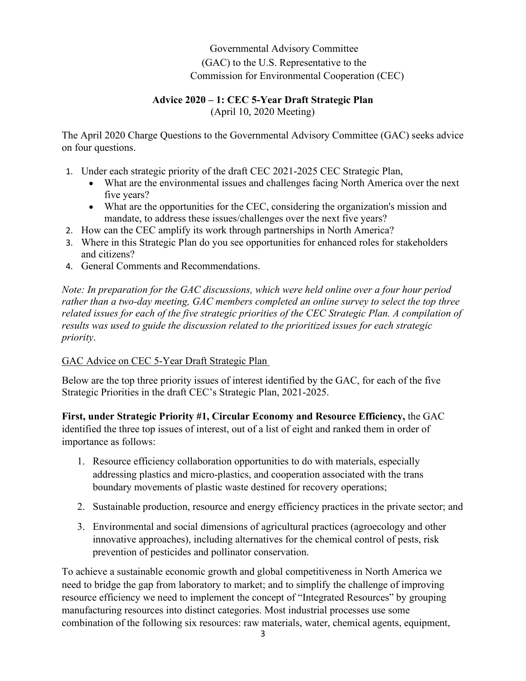# Governmental Advisory Committee (GAC) to the U.S. Representative to the Commission for Environmental Cooperation (CEC)

## **Advice 2020 – 1: CEC 5-Year Draft Strategic Plan** (April 10, 2020 Meeting)

The April 2020 Charge Questions to the Governmental Advisory Committee (GAC) seeks advice on four questions.

- 1. Under each strategic priority of the draft CEC 2021-2025 CEC Strategic Plan,
	- What are the environmental issues and challenges facing North America over the next five years?
	- What are the opportunities for the CEC, considering the organization's mission and mandate, to address these issues/challenges over the next five years?
- 2. How can the CEC amplify its work through partnerships in North America?
- 3. Where in this Strategic Plan do you see opportunities for enhanced roles for stakeholders and citizens?
- 4. General Comments and Recommendations.

*Note: In preparation for the GAC discussions, which were held online over a four hour period rather than a two-day meeting, GAC members completed an online survey to select the top three related issues for each of the five strategic priorities of the CEC Strategic Plan. A compilation of results was used to guide the discussion related to the prioritized issues for each strategic priority*.

### GAC Advice on CEC 5-Year Draft Strategic Plan

Below are the top three priority issues of interest identified by the GAC, for each of the five Strategic Priorities in the draft CEC's Strategic Plan, 2021-2025.

**First, under Strategic Priority #1, Circular Economy and Resource Efficiency,** the GAC identified the three top issues of interest, out of a list of eight and ranked them in order of importance as follows:

- 1. Resource efficiency collaboration opportunities to do with materials, especially addressing plastics and micro-plastics, and cooperation associated with the trans boundary movements of plastic waste destined for recovery operations;
- 2. Sustainable production, resource and energy efficiency practices in the private sector; and
- 3. Environmental and social dimensions of agricultural practices (agroecology and other innovative approaches), including alternatives for the chemical control of pests, risk prevention of pesticides and pollinator conservation.

To achieve a sustainable economic growth and global competitiveness in North America we need to bridge the gap from laboratory to market; and to simplify the challenge of improving resource efficiency we need to implement the concept of "Integrated Resources" by grouping manufacturing resources into distinct categories. Most industrial processes use some combination of the following six resources: raw materials, water, chemical agents, equipment,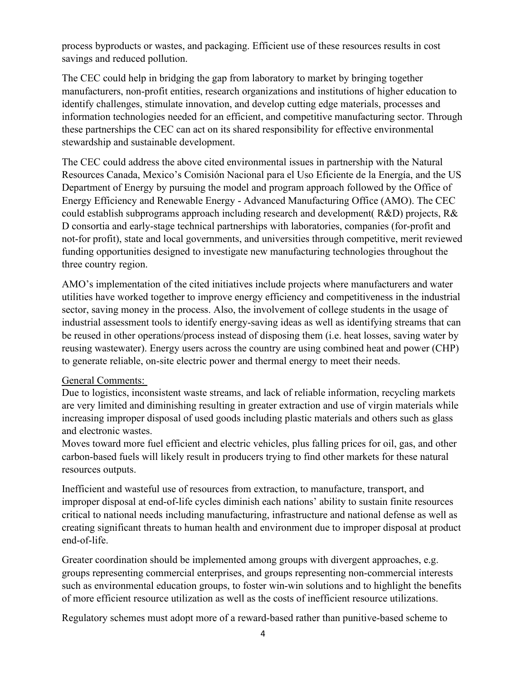process byproducts or wastes, and packaging. Efficient use of these resources results in cost savings and reduced pollution.

The CEC could help in bridging the gap from laboratory to market by bringing together manufacturers, non-profit entities, research organizations and institutions of higher education to identify challenges, stimulate innovation, and develop cutting edge materials, processes and information technologies needed for an efficient, and competitive manufacturing sector. Through these partnerships the CEC can act on its shared responsibility for effective environmental stewardship and sustainable development.

The CEC could address the above cited environmental issues in partnership with the Natural Resources Canada, Mexico's Comisión Nacional para el Uso Eficiente de la Energía, and the US Department of Energy by pursuing the model and program approach followed by the Office of Energy Efficiency and Renewable Energy - Advanced Manufacturing Office (AMO). The CEC could establish subprograms approach including research and development( R&D) projects, R& D consortia and early-stage technical partnerships with laboratories, companies (for-profit and not-for profit), state and local governments, and universities through competitive, merit reviewed funding opportunities designed to investigate new manufacturing technologies throughout the three country region.

AMO's implementation of the cited initiatives include projects where manufacturers and water utilities have worked together to improve energy efficiency and competitiveness in the industrial sector, saving money in the process. Also, the involvement of college students in the usage of industrial assessment tools to identify energy-saving ideas as well as identifying streams that can be reused in other operations/process instead of disposing them (i.e. heat losses, saving water by reusing wastewater). Energy users across the country are using combined heat and power (CHP) to generate reliable, on-site electric power and thermal energy to meet their needs.

### General Comments:

Due to logistics, inconsistent waste streams, and lack of reliable information, recycling markets are very limited and diminishing resulting in greater extraction and use of virgin materials while increasing improper disposal of used goods including plastic materials and others such as glass and electronic wastes.

Moves toward more fuel efficient and electric vehicles, plus falling prices for oil, gas, and other carbon-based fuels will likely result in producers trying to find other markets for these natural resources outputs.

Inefficient and wasteful use of resources from extraction, to manufacture, transport, and improper disposal at end-of-life cycles diminish each nations' ability to sustain finite resources critical to national needs including manufacturing, infrastructure and national defense as well as creating significant threats to human health and environment due to improper disposal at product end-of-life.

Greater coordination should be implemented among groups with divergent approaches, e.g. groups representing commercial enterprises, and groups representing non-commercial interests such as environmental education groups, to foster win-win solutions and to highlight the benefits of more efficient resource utilization as well as the costs of inefficient resource utilizations.

Regulatory schemes must adopt more of a reward-based rather than punitive-based scheme to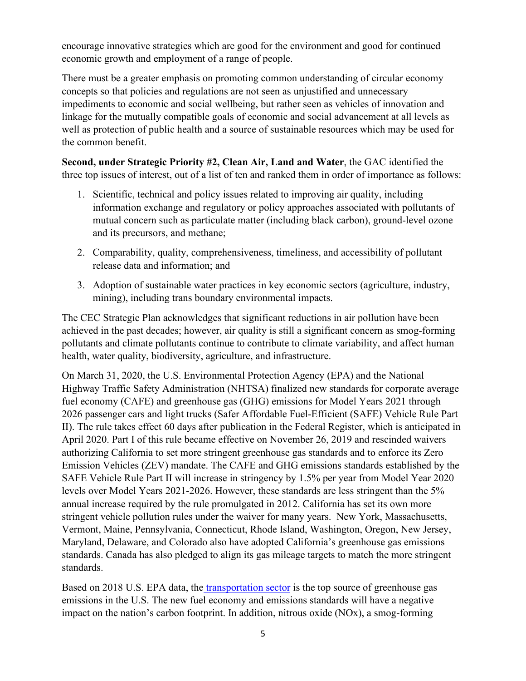encourage innovative strategies which are good for the environment and good for continued economic growth and employment of a range of people.

There must be a greater emphasis on promoting common understanding of circular economy concepts so that policies and regulations are not seen as unjustified and unnecessary impediments to economic and social wellbeing, but rather seen as vehicles of innovation and linkage for the mutually compatible goals of economic and social advancement at all levels as well as protection of public health and a source of sustainable resources which may be used for the common benefit.

**Second, under Strategic Priority #2, Clean Air, Land and Water**, the GAC identified the three top issues of interest, out of a list of ten and ranked them in order of importance as follows:

- 1. Scientific, technical and policy issues related to improving air quality, including information exchange and regulatory or policy approaches associated with pollutants of mutual concern such as particulate matter (including black carbon), ground-level ozone and its precursors, and methane;
- 2. Comparability, quality, comprehensiveness, timeliness, and accessibility of pollutant release data and information; and
- 3. Adoption of sustainable water practices in key economic sectors (agriculture, industry, mining), including trans boundary environmental impacts.

The CEC Strategic Plan acknowledges that significant reductions in air pollution have been achieved in the past decades; however, air quality is still a significant concern as smog-forming pollutants and climate pollutants continue to contribute to climate variability, and affect human health, water quality, biodiversity, agriculture, and infrastructure.

On March 31, 2020, the U.S. Environmental Protection Agency (EPA) and the National Highway Traffic Safety Administration (NHTSA) finalized new standards for corporate average fuel economy (CAFE) and greenhouse gas (GHG) emissions for Model Years 2021 through 2026 passenger cars and light trucks (Safer Affordable Fuel-Efficient (SAFE) Vehicle Rule Part II). The rule takes effect 60 days after publication in the Federal Register, which is anticipated in April 2020. Part I of this rule became effective on November 26, 2019 and rescinded waivers authorizing California to set more stringent greenhouse gas standards and to enforce its Zero Emission Vehicles (ZEV) mandate. The CAFE and GHG emissions standards established by the SAFE Vehicle Rule Part II will increase in stringency by 1.5% per year from Model Year 2020 levels over Model Years 2021-2026. However, these standards are less stringent than the 5% annual increase required by the rule promulgated in 2012. California has set its own more stringent vehicle pollution rules under the waiver for many years. New York, Massachusetts, Vermont, Maine, Pennsylvania, Connecticut, Rhode Island, Washington, Oregon, New Jersey, Maryland, Delaware, and Colorado also have adopted California's greenhouse gas emissions standards. Canada has also pledged to align its gas mileage targets to match the more stringent standards.

Based on 2018 U.S. EPA data, the [transportation sector](https://www.epa.gov/sites/production/files/2020-04/documents/fastfacts-1990-2018.pdf) is the top source of greenhouse gas emissions in the U.S. The new fuel economy and emissions standards will have a negative impact on the nation's carbon footprint. In addition, nitrous oxide (NOx), a smog-forming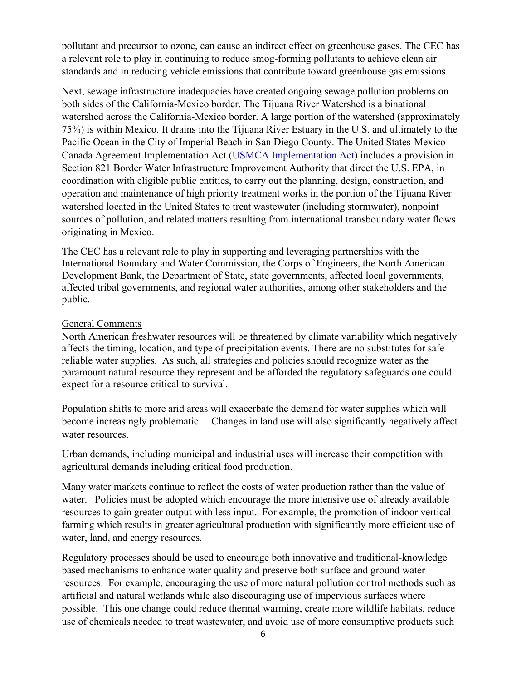pollutant and precursor to ozone, can cause an indirect effect on greenhouse gases. The CEC has a relevant role to play in continuing to reduce smog-forming pollutants to achieve clean air standards and in reducing vehicle emissions that contribute toward greenhouse gas emissions.

Next, sewage infrastructure inadequacies have created ongoing sewage pollution problems on both sides of the California-Mexico border. The Tijuana River Watershed is a binational watershed across the California-Mexico border. A large portion of the watershed (approximately 75%) is within Mexico. It drains into the Tijuana River Estuary in the U.S. and ultimately to the Pacific Ocean in the City of Imperial Beach in San Diego County. The United States-Mexico-Canada Agreement Implementation Act [\(USMCA Implementation Act\)](https://www.congress.gov/116/bills/hr5430/BILLS-116hr5430enr.pdf) includes a provision in Section 821 Border Water Infrastructure Improvement Authority that direct the U.S. EPA, in coordination with eligible public entities, to carry out the planning, design, construction, and operation and maintenance of high priority treatment works in the portion of the Tijuana River watershed located in the United States to treat wastewater (including stormwater), nonpoint sources of pollution, and related matters resulting from international transboundary water flows originating in Mexico.

The CEC has a relevant role to play in supporting and leveraging partnerships with the International Boundary and Water Commission, the Corps of Engineers, the North American Development Bank, the Department of State, state governments, affected local governments, affected tribal governments, and regional water authorities, among other stakeholders and the public.

### General Comments

North American freshwater resources will be threatened by climate variability which negatively affects the timing, location, and type of precipitation events. There are no substitutes for safe reliable water supplies. As such, all strategies and policies should recognize water as the paramount natural resource they represent and be afforded the regulatory safeguards one could expect for a resource critical to survival.

Population shifts to more arid areas will exacerbate the demand for water supplies which will become increasingly problematic. Changes in land use will also significantly negatively affect water resources.

Urban demands, including municipal and industrial uses will increase their competition with agricultural demands including critical food production.

Many water markets continue to reflect the costs of water production rather than the value of water. Policies must be adopted which encourage the more intensive use of already available resources to gain greater output with less input. For example, the promotion of indoor vertical farming which results in greater agricultural production with significantly more efficient use of water, land, and energy resources.

Regulatory processes should be used to encourage both innovative and traditional-knowledge based mechanisms to enhance water quality and preserve both surface and ground water resources. For example, encouraging the use of more natural pollution control methods such as artificial and natural wetlands while also discouraging use of impervious surfaces where possible. This one change could reduce thermal warming, create more wildlife habitats, reduce use of chemicals needed to treat wastewater, and avoid use of more consumptive products such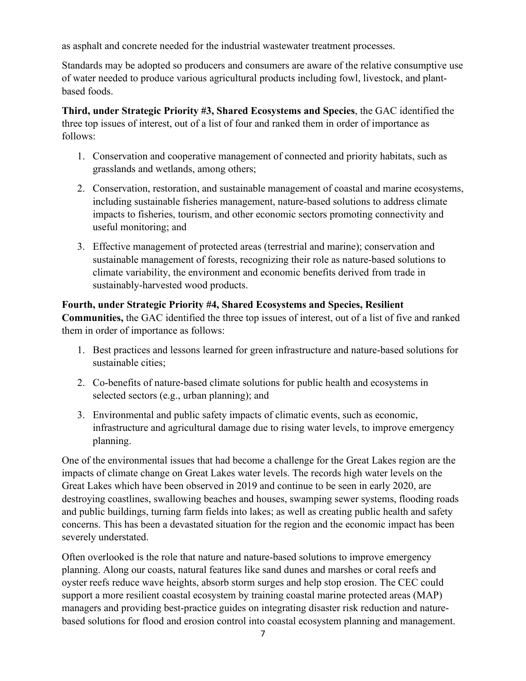as asphalt and concrete needed for the industrial wastewater treatment processes.

Standards may be adopted so producers and consumers are aware of the relative consumptive use of water needed to produce various agricultural products including fowl, livestock, and plantbased foods.

**Third, under Strategic Priority #3, Shared Ecosystems and Species**, the GAC identified the three top issues of interest, out of a list of four and ranked them in order of importance as follows:

- 1. Conservation and cooperative management of connected and priority habitats, such as grasslands and wetlands, among others;
- 2. Conservation, restoration, and sustainable management of coastal and marine ecosystems, including sustainable fisheries management, nature-based solutions to address climate impacts to fisheries, tourism, and other economic sectors promoting connectivity and useful monitoring; and
- 3. Effective management of protected areas (terrestrial and marine); conservation and sustainable management of forests, recognizing their role as nature-based solutions to climate variability, the environment and economic benefits derived from trade in sustainably-harvested wood products.

**Fourth, under Strategic Priority #4, Shared Ecosystems and Species, Resilient Communities,** the GAC identified the three top issues of interest, out of a list of five and ranked them in order of importance as follows:

- 1. Best practices and lessons learned for green infrastructure and nature-based solutions for sustainable cities;
- 2. Co-benefits of nature-based climate solutions for public health and ecosystems in selected sectors (e.g., urban planning); and
- 3. Environmental and public safety impacts of climatic events, such as economic, infrastructure and agricultural damage due to rising water levels, to improve emergency planning.

One of the environmental issues that had become a challenge for the Great Lakes region are the impacts of climate change on Great Lakes water levels. The records high water levels on the Great Lakes which have been observed in 2019 and continue to be seen in early 2020, are destroying coastlines, swallowing beaches and houses, swamping sewer systems, flooding roads and public buildings, turning farm fields into lakes; as well as creating public health and safety concerns. This has been a devastated situation for the region and the economic impact has been severely understated.

Often overlooked is the role that nature and nature-based solutions to improve emergency planning. Along our coasts, natural features like sand dunes and marshes or coral reefs and oyster reefs reduce wave heights, absorb storm surges and help stop erosion. The CEC could support a more resilient coastal ecosystem by training coastal marine protected areas (MAP) managers and providing best-practice guides on integrating disaster risk reduction and naturebased solutions for flood and erosion control into coastal ecosystem planning and management.